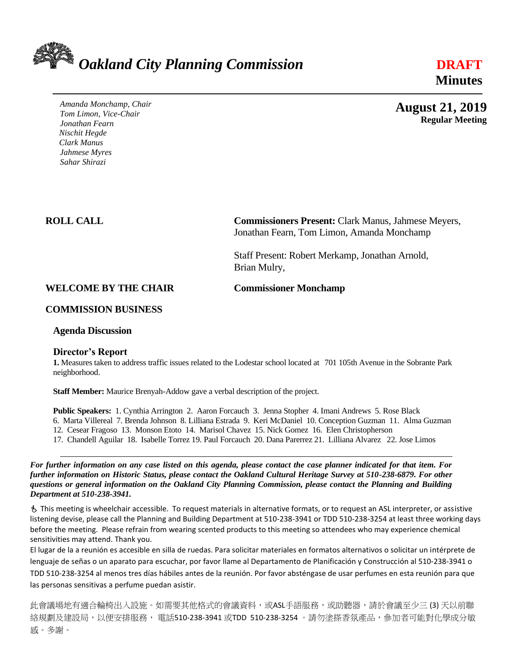

*Amanda Monchamp, Chair Tom Limon, Vice-Chair Jonathan Fearn Nischit Hegde Clark Manus Jahmese Myres Sahar Shirazi* 

 **Minutes**

 **Regular Meeting**

 **August 21, 2019**

**ROLL CALL Commissioners Present:** Clark Manus, Jahmese Meyers, Jonathan Fearn, Tom Limon, Amanda Monchamp

> Staff Present: Robert Merkamp, Jonathan Arnold, Brian Mulry,

# **WELCOME BY THE CHAIR Commissioner Monchamp**

### **COMMISSION BUSINESS**

**Agenda Discussion** 

### **Director's Report**

**1.** Measures taken to address traffic issues related to the Lodestar school located at 701 105th Avenue in the Sobrante Park neighborhood.

**Staff Member:** Maurice Brenyah-Addow gave a verbal description of the project.

**Public Speakers:** 1. Cynthia Arrington 2. Aaron Forcauch 3. Jenna Stopher 4. Imani Andrews 5. Rose Black 6. Marta Villereal 7. Brenda Johnson 8. Lilliana Estrada 9. Keri McDaniel 10. Conception Guzman 11. Alma Guzman 12. Cesear Fragoso 13. Monson Etoto 14. Marisol Chavez 15. Nick Gomez 16. Elen Christopherson

17. Chandell Aguilar 18. Isabelle Torrez 19. Paul Forcauch 20. Dana Parerrez 21. Lilliana Alvarez 22. Jose Limos

*For further information on any case listed on this agenda, please contact the case planner indicated for that item. For further information on Historic Status, please contact the Oakland Cultural Heritage Survey at 510-238-6879. For other questions or general information on the Oakland City Planning Commission, please contact the Planning and Building Department at 510-238-3941.*

 This meeting is wheelchair accessible. To request materials in alternative formats, or to request an ASL interpreter, or assistive listening devise, please call the Planning and Building Department at 510-238-3941 or TDD 510-238-3254 at least three working days before the meeting. Please refrain from wearing scented products to this meeting so attendees who may experience chemical sensitivities may attend. Thank you.

El lugar de la a reunión es accesible en silla de ruedas. Para solicitar materiales en formatos alternativos o solicitar un intérprete de lenguaje de señas o un aparato para escuchar, por favor llame al Departamento de Planificación y Construcción al 510-238-3941 o TDD 510-238-3254 al menos tres días hábiles antes de la reunión. Por favor absténgase de usar perfumes en esta reunión para que las personas sensitivas a perfume puedan asistir.

此會議場地有適合輪椅出入設施。如需要其他格式的會議資料,或ASL手語服務,或助聽器,請於會議至少三 (3) 天以前聯 絡規劃及建設局,以便安排服務,電話510-238-3941 或TDD 510-238-3254 。請勿塗搽香氛產品,參加者可能對化學成分敏 感。多謝。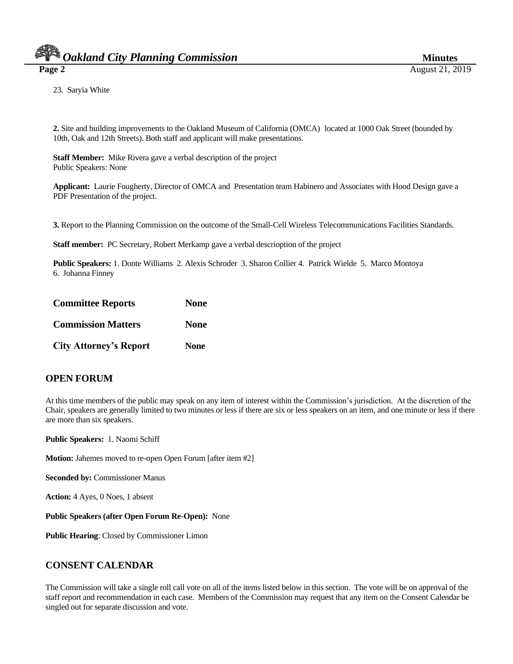23. Saryia White

**2.** Site and building improvements to the Oakland Museum of California (OMCA) located at 1000 Oak Street (bounded by 10th, Oak and 12th Streets). Both staff and applicant will make presentations.

**Staff Member:** Mike Rivera gave a verbal description of the project Public Speakers: None

**Applicant:** Laurie Fougherty, Director of OMCA and Presentation team Habinero and Associates with Hood Design gave a PDF Presentation of the project.

**3.** Report to the Planning Commission on the outcome of the Small-Cell Wireless Telecommunications Facilities Standards.

**Staff member:** PC Secretary, Robert Merkamp gave a verbal descrioption of the project

**Public Speakers:** 1. Donte Williams 2. Alexis Schroder 3. Sharon Collier 4. Patrick Wielde 5. Marco Montoya 6. Johanna Finney

| <b>Committee Reports</b>      | <b>None</b> |
|-------------------------------|-------------|
| <b>Commission Matters</b>     | <b>None</b> |
| <b>City Attorney's Report</b> | <b>None</b> |

# **OPEN FORUM**

At this time members of the public may speak on any item of interest within the Commission's jurisdiction. At the discretion of the Chair, speakers are generally limited to two minutes or less if there are six or less speakers on an item, and one minute or less if there are more than six speakers.

**Public Speakers:** 1. Naomi Schiff

**Motion:** Jahemes moved to re-open Open Forum [after item #2]

**Seconded by:** Commissioner Manus

**Action:** 4 Ayes, 0 Noes, 1 absent

**Public Speakers (after Open Forum Re-Open):** None

**Public Hearing**: Closed by Commissioner Limon

# **CONSENT CALENDAR**

The Commission will take a single roll call vote on all of the items listed below in this section. The vote will be on approval of the staff report and recommendation in each case. Members of the Commission may request that any item on the Consent Calendar be singled out for separate discussion and vote.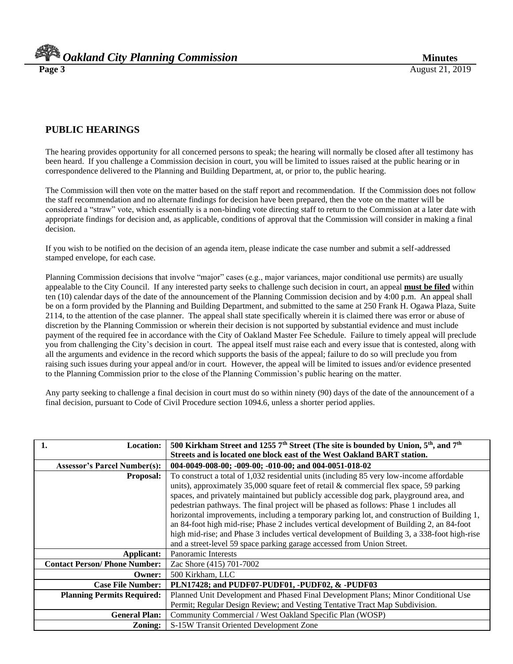*Oakland City Planning Commission Minutes* 

# **PUBLIC HEARINGS**

The hearing provides opportunity for all concerned persons to speak; the hearing will normally be closed after all testimony has been heard. If you challenge a Commission decision in court, you will be limited to issues raised at the public hearing or in correspondence delivered to the Planning and Building Department, at, or prior to, the public hearing.

The Commission will then vote on the matter based on the staff report and recommendation. If the Commission does not follow the staff recommendation and no alternate findings for decision have been prepared, then the vote on the matter will be considered a "straw" vote, which essentially is a non-binding vote directing staff to return to the Commission at a later date with appropriate findings for decision and, as applicable, conditions of approval that the Commission will consider in making a final decision.

If you wish to be notified on the decision of an agenda item, please indicate the case number and submit a self-addressed stamped envelope, for each case.

Planning Commission decisions that involve "major" cases (e.g., major variances, major conditional use permits) are usually appealable to the City Council. If any interested party seeks to challenge such decision in court, an appeal **must be filed** within ten (10) calendar days of the date of the announcement of the Planning Commission decision and by 4:00 p.m. An appeal shall be on a form provided by the Planning and Building Department, and submitted to the same at 250 Frank H. Ogawa Plaza, Suite 2114, to the attention of the case planner. The appeal shall state specifically wherein it is claimed there was error or abuse of discretion by the Planning Commission or wherein their decision is not supported by substantial evidence and must include payment of the required fee in accordance with the City of Oakland Master Fee Schedule. Failure to timely appeal will preclude you from challenging the City's decision in court. The appeal itself must raise each and every issue that is contested, along with all the arguments and evidence in the record which supports the basis of the appeal; failure to do so will preclude you from raising such issues during your appeal and/or in court. However, the appeal will be limited to issues and/or evidence presented to the Planning Commission prior to the close of the Planning Commission's public hearing on the matter.

Any party seeking to challenge a final decision in court must do so within ninety (90) days of the date of the announcement of a final decision, pursuant to Code of Civil Procedure section 1094.6, unless a shorter period applies.

| <b>Location:</b>                    | 500 Kirkham Street and 1255 $7th$ Street (The site is bounded by Union, 5 <sup>th</sup> , and $7th$ |
|-------------------------------------|-----------------------------------------------------------------------------------------------------|
|                                     | Streets and is located one block east of the West Oakland BART station.                             |
| <b>Assessor's Parcel Number(s):</b> | 004-0049-008-00; -009-00; -010-00; and 004-0051-018-02                                              |
| <b>Proposal:</b>                    | To construct a total of 1,032 residential units (including 85 very low-income affordable            |
|                                     | units), approximately 35,000 square feet of retail $\&$ commercial flex space, 59 parking           |
|                                     | spaces, and privately maintained but publicly accessible dog park, playground area, and             |
|                                     | pedestrian pathways. The final project will be phased as follows: Phase 1 includes all              |
|                                     | horizontal improvements, including a temporary parking lot, and construction of Building 1,         |
|                                     | an 84-foot high mid-rise; Phase 2 includes vertical development of Building 2, an 84-foot           |
|                                     | high mid-rise; and Phase 3 includes vertical development of Building 3, a 338-foot high-rise        |
|                                     | and a street-level 59 space parking garage accessed from Union Street.                              |
| Applicant:                          | Panoramic Interests                                                                                 |
| <b>Contact Person/Phone Number:</b> | Zac Shore (415) 701-7002                                                                            |
| Owner:                              | 500 Kirkham, LLC                                                                                    |
| <b>Case File Number:</b>            | PLN17428; and PUDF07-PUDF01, -PUDF02, & -PUDF03                                                     |
| <b>Planning Permits Required:</b>   | Planned Unit Development and Phased Final Development Plans; Minor Conditional Use                  |
|                                     | Permit; Regular Design Review; and Vesting Tentative Tract Map Subdivision.                         |
| <b>General Plan:</b>                | Community Commercial / West Oakland Specific Plan (WOSP)                                            |
| Zoning:                             | S-15W Transit Oriented Development Zone                                                             |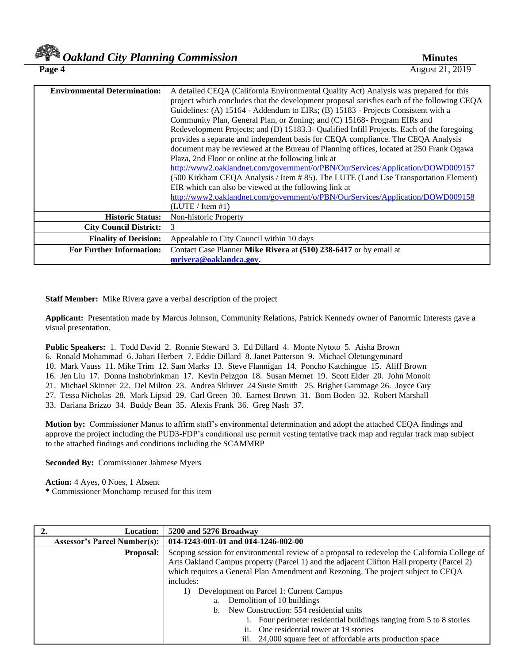| <b>Environmental Determination:</b> | A detailed CEQA (California Environmental Quality Act) Analysis was prepared for this      |
|-------------------------------------|--------------------------------------------------------------------------------------------|
|                                     | project which concludes that the development proposal satisfies each of the following CEQA |
|                                     | Guidelines: (A) 15164 - Addendum to EIRs; (B) 15183 - Projects Consistent with a           |
|                                     | Community Plan, General Plan, or Zoning; and (C) 15168- Program EIRs and                   |
|                                     | Redevelopment Projects; and (D) 15183.3- Qualified Infill Projects. Each of the foregoing  |
|                                     | provides a separate and independent basis for CEQA compliance. The CEQA Analysis           |
|                                     | document may be reviewed at the Bureau of Planning offices, located at 250 Frank Ogawa     |
|                                     | Plaza, 2nd Floor or online at the following link at                                        |
|                                     | http://www2.oaklandnet.com/government/o/PBN/OurServices/Application/DOWD009157             |
|                                     | (500 Kirkham CEQA Analysis / Item #85). The LUTE (Land Use Transportation Element)         |
|                                     | EIR which can also be viewed at the following link at                                      |
|                                     | http://www2.oaklandnet.com/government/o/PBN/OurServices/Application/DOWD009158             |
|                                     | (LUTE / Item #1)                                                                           |
| <b>Historic Status:</b>             | Non-historic Property                                                                      |
| <b>City Council District:</b>       | 3                                                                                          |
| <b>Finality of Decision:</b>        | Appealable to City Council within 10 days                                                  |
| <b>For Further Information:</b>     | Contact Case Planner Mike Rivera at (510) 238-6417 or by email at                          |
|                                     | mrivera@oaklandca.gov.                                                                     |

**Staff Member:** Mike Rivera gave a verbal description of the project

**Applicant:** Presentation made by Marcus Johnson, Community Relations, Patrick Kennedy owner of Panormic Interests gave a visual presentation.

**Public Speakers:** 1. Todd David 2. Ronnie Steward 3. Ed Dillard 4. Monte Nytoto 5. Aisha Brown 6. Ronald Mohammad 6. Jabari Herbert 7. Eddie Dillard 8. Janet Patterson 9. Michael Oletungynunard 10. Mark Vauss 11. Mike Trim 12. Sam Marks 13. Steve Flannigan 14. Poncho Katchingue 15. Aliff Brown 16. Jen Liu 17. Donna Inshobrinkman 17. Kevin Pelzgon 18. Susan Mernet 19. Scott Elder 20. John Monoit 21. Michael Skinner 22. Del Milton 23. Andrea Skluver 24 Susie Smith 25. Brighet Gammage 26. Joyce Guy 27. Tessa Nicholas 28. Mark Lipsid 29. Carl Green 30. Earnest Brown 31. Bom Boden 32. Robert Marshall 33. Dariana Brizzo 34. Buddy Bean 35. Alexis Frank 36. Greg Nash 37.

**Motion by:** Commissioner Manus to affirm staff's environmental determination and adopt the attached CEQA findings and approve the project including the PUD3-FDP's conditional use permit vesting tentative track map and regular track map subject to the attached findings and conditions including the SCAMMRP

**Seconded By:** Commissioner Jahmese Myers

**Action:** 4 Ayes, 0 Noes, 1 Absent

**\*** Commissioner Monchamp recused for this item

| <b>Location:</b>                    | 5200 and 5276 Broadway                                                                                                                                                                     |
|-------------------------------------|--------------------------------------------------------------------------------------------------------------------------------------------------------------------------------------------|
| <b>Assessor's Parcel Number(s):</b> | 014-1243-001-01 and 014-1246-002-00                                                                                                                                                        |
| <b>Proposal:</b>                    | Scoping session for environmental review of a proposal to redevelop the California College of<br>Arts Oakland Campus property (Parcel 1) and the adjacent Clifton Hall property (Parcel 2) |
|                                     | which requires a General Plan Amendment and Rezoning. The project subject to CEQA                                                                                                          |
|                                     | includes:                                                                                                                                                                                  |
|                                     | Development on Parcel 1: Current Campus<br>1)                                                                                                                                              |
|                                     | Demolition of 10 buildings<br>a.                                                                                                                                                           |
|                                     | New Construction: 554 residential units<br>b.                                                                                                                                              |
|                                     | Four perimeter residential buildings ranging from 5 to 8 stories                                                                                                                           |
|                                     | One residential tower at 19 stories<br>11.                                                                                                                                                 |
|                                     | 24,000 square feet of affordable arts production space<br>111.                                                                                                                             |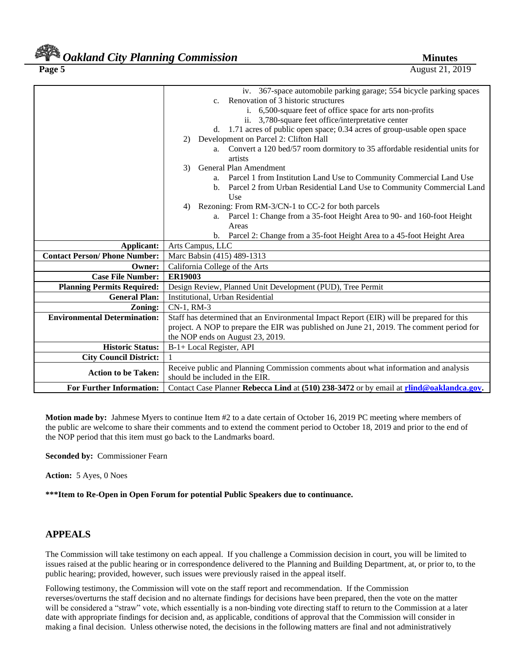# *Oakland City Planning Commission Minutes*

**Page 5** August 21, 2019

|                                      | iv. 367-space automobile parking garage; 554 bicycle parking spaces                      |  |
|--------------------------------------|------------------------------------------------------------------------------------------|--|
|                                      | Renovation of 3 historic structures<br>$c_{\cdot}$                                       |  |
|                                      | i. 6,500-square feet of office space for arts non-profits                                |  |
|                                      | ii. 3,780-square feet office/interpretative center                                       |  |
|                                      | d. 1.71 acres of public open space; 0.34 acres of group-usable open space                |  |
|                                      | Development on Parcel 2: Clifton Hall<br>2)                                              |  |
|                                      | a. Convert a 120 bed/57 room dormitory to 35 affordable residential units for            |  |
|                                      | artists                                                                                  |  |
|                                      | General Plan Amendment<br>3)                                                             |  |
|                                      | a. Parcel 1 from Institution Land Use to Community Commercial Land Use                   |  |
|                                      | Parcel 2 from Urban Residential Land Use to Community Commercial Land<br>b.              |  |
|                                      | Use                                                                                      |  |
|                                      | Rezoning: From RM-3/CN-1 to CC-2 for both parcels<br>4)                                  |  |
|                                      | Parcel 1: Change from a 35-foot Height Area to 90- and 160-foot Height<br>a.             |  |
|                                      | Areas                                                                                    |  |
|                                      | Parcel 2: Change from a 35-foot Height Area to a 45-foot Height Area<br>$\mathbf{b}$ .   |  |
| Applicant:                           | Arts Campus, LLC                                                                         |  |
| <b>Contact Person/ Phone Number:</b> | Marc Babsin (415) 489-1313                                                               |  |
| Owner:                               | California College of the Arts                                                           |  |
| <b>Case File Number:</b>             | <b>ER19003</b>                                                                           |  |
| <b>Planning Permits Required:</b>    | Design Review, Planned Unit Development (PUD), Tree Permit                               |  |
| <b>General Plan:</b>                 | Institutional, Urban Residential                                                         |  |
| Zoning:                              | CN-1, RM-3                                                                               |  |
| <b>Environmental Determination:</b>  | Staff has determined that an Environmental Impact Report (EIR) will be prepared for this |  |
|                                      | project. A NOP to prepare the EIR was published on June 21, 2019. The comment period for |  |
|                                      | the NOP ends on August 23, 2019.                                                         |  |
| <b>Historic Status:</b>              | B-1+ Local Register, API                                                                 |  |
| <b>City Council District:</b>        |                                                                                          |  |
|                                      | Receive public and Planning Commission comments about what information and analysis      |  |
| <b>Action to be Taken:</b>           | should be included in the EIR.                                                           |  |
| <b>For Further Information:</b>      | Contact Case Planner Rebecca Lind at (510) 238-3472 or by email at rlind@oaklandca.gov.  |  |

**Motion made by:** Jahmese Myers to continue Item #2 to a date certain of October 16, 2019 PC meeting where members of the public are welcome to share their comments and to extend the comment period to October 18, 2019 and prior to the end of the NOP period that this item must go back to the Landmarks board.

**Seconded by:** Commissioner Fearn

**Action:** 5 Ayes, 0 Noes

**\*\*\*Item to Re-Open in Open Forum for potential Public Speakers due to continuance.**

# **APPEALS**

The Commission will take testimony on each appeal. If you challenge a Commission decision in court, you will be limited to issues raised at the public hearing or in correspondence delivered to the Planning and Building Department, at, or prior to, to the public hearing; provided, however, such issues were previously raised in the appeal itself.

Following testimony, the Commission will vote on the staff report and recommendation. If the Commission reverses/overturns the staff decision and no alternate findings for decisions have been prepared, then the vote on the matter will be considered a "straw" vote, which essentially is a non-binding vote directing staff to return to the Commission at a later date with appropriate findings for decision and, as applicable, conditions of approval that the Commission will consider in making a final decision. Unless otherwise noted, the decisions in the following matters are final and not administratively